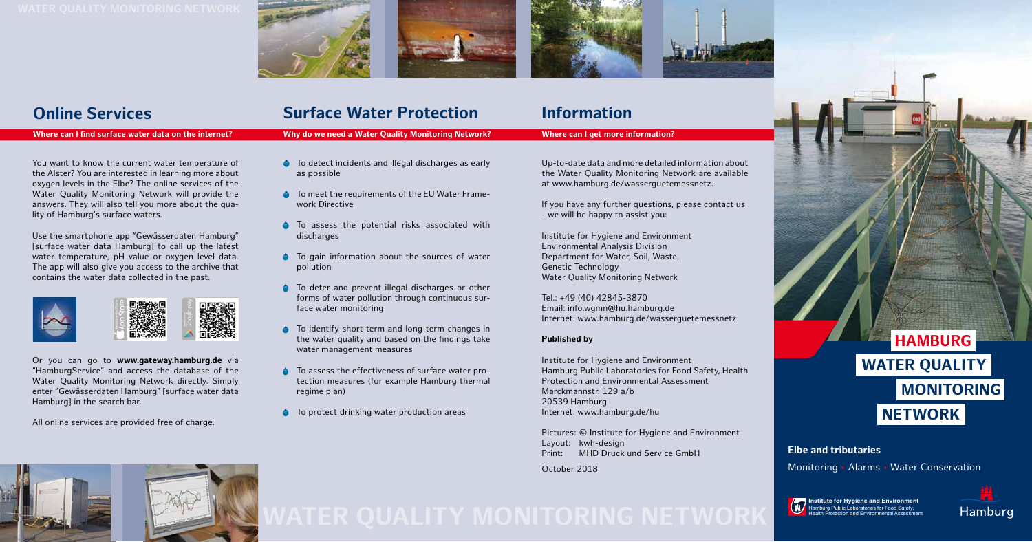**Institute for Hygiene and Environment**<br>Hamburg Public Laboratories for Food Safety, Health Protection and Environmental Assessment



You want to know the current water temperature of the Alster? You are interested in learning more about oxygen levels in the Elbe? The online services of the Water Quality Monitoring Network will provide the answers. They will also tell you more about the quality of Hamburg's surface waters.

Use the smartphone app "Gewässerdaten Hamburg" [surface water data Hamburg] to call up the latest water temperature, pH value or oxygen level data. The app will also give you access to the archive that contains the water data collected in the past.



Or you can go to **www.gateway.hamburg.de** via "HamburgService" and access the database of the Water Quality Monitoring Network directly. Simply enter "Gewässerdaten Hamburg" [surface water data Hamburg] in the search bar.

All online services are provided free of charge.



# **Online Services**

- To detect incidents and illegal discharges as early as possible
- **To meet the requirements of the EU Water Frame**work Directive
- To assess the potential risks associated with discharges
- **•** To gain information about the sources of water pollution
- **•** To deter and prevent illegal discharges or other forms of water pollution through continuous surface water monitoring
- **•** To identify short-term and long-term changes in the water quality and based on the findings take water management measures
- **To assess the effectiveness of surface water pro**tection measures (for example Hamburg thermal regime plan)
- $\bullet$  To protect drinking water production areas

### **Where can I find surface water data on the internet?**

Up-to-date data and more detailed information about the Water Quality Monitoring Network are available at www.hamburg.de/wasserguetemessnetz.

If you have any further questions, please contact us - we will be happy to assist you:

Institute for Hygiene and Environment Environmental Analysis Division Department for Water, Soil, Waste, Genetic Technology Water Quality Monitoring Network

Tel.: +49 (40) 42845-3870 Email: info.wgmn@hu.hamburg.de Internet: www.hamburg.de/wasserguetemessnetz

## **Published by**

Institute for Hygiene and Environment Hamburg Public Laboratories for Food Safety, Health Protection and Environmental Assessment Marckmannstr. 129 a/b 20539 Hamburg Internet: www.hamburg.de/hu

Pictures: © Institute for Hygiene and Environment Layout: kwh-design Print: MHD Druck und Service GmbH

October 2018



# **Surface Water Protection**

**Why do we need a Water Quality Monitoring Network?**

# **Information**

## **Where can I get more information?**

**Elbe and tributaries**

Monitoring • Alarms • Water Conservation

# **HAMBURG Water Quality Monitoring NETWORK**